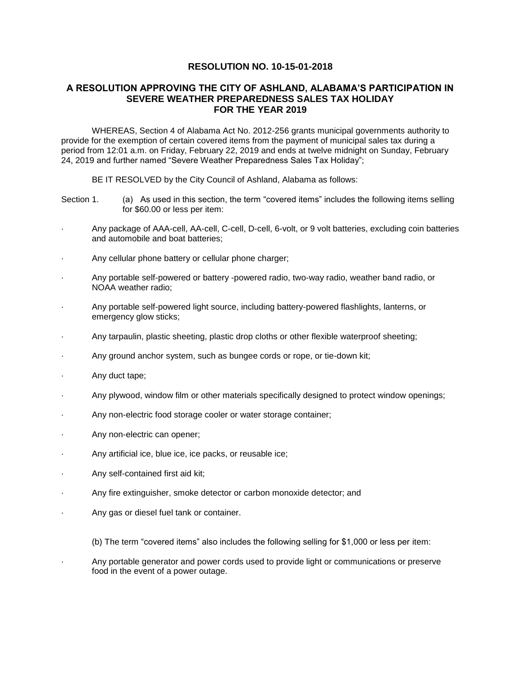## **RESOLUTION NO. 10-15-01-2018**

## **A RESOLUTION APPROVING THE CITY OF ASHLAND, ALABAMA'S PARTICIPATION IN SEVERE WEATHER PREPAREDNESS SALES TAX HOLIDAY FOR THE YEAR 2019**

WHEREAS, Section 4 of Alabama Act No. 2012-256 grants municipal governments authority to provide for the exemption of certain covered items from the payment of municipal sales tax during a period from 12:01 a.m. on Friday, February 22, 2019 and ends at twelve midnight on Sunday, February 24, 2019 and further named "Severe Weather Preparedness Sales Tax Holiday";

BE IT RESOLVED by the City Council of Ashland, Alabama as follows:

- Section 1. (a) As used in this section, the term "covered items" includes the following items selling for \$60.00 or less per item:
- · Any package of AAA-cell, AA-cell, C-cell, D-cell, 6-volt, or 9 volt batteries, excluding coin batteries and automobile and boat batteries;
- Any cellular phone battery or cellular phone charger;
- · Any portable self-powered or battery -powered radio, two-way radio, weather band radio, or NOAA weather radio;
- · Any portable self-powered light source, including battery-powered flashlights, lanterns, or emergency glow sticks;
- · Any tarpaulin, plastic sheeting, plastic drop cloths or other flexible waterproof sheeting;
- Any ground anchor system, such as bungee cords or rope, or tie-down kit;
- · Any duct tape;
- · Any plywood, window film or other materials specifically designed to protect window openings;
- Any non-electric food storage cooler or water storage container;
- Any non-electric can opener;
- Any artificial ice, blue ice, ice packs, or reusable ice;
- Any self-contained first aid kit;
- Any fire extinguisher, smoke detector or carbon monoxide detector; and
- Any gas or diesel fuel tank or container.

(b) The term "covered items" also includes the following selling for \$1,000 or less per item:

· Any portable generator and power cords used to provide light or communications or preserve food in the event of a power outage.